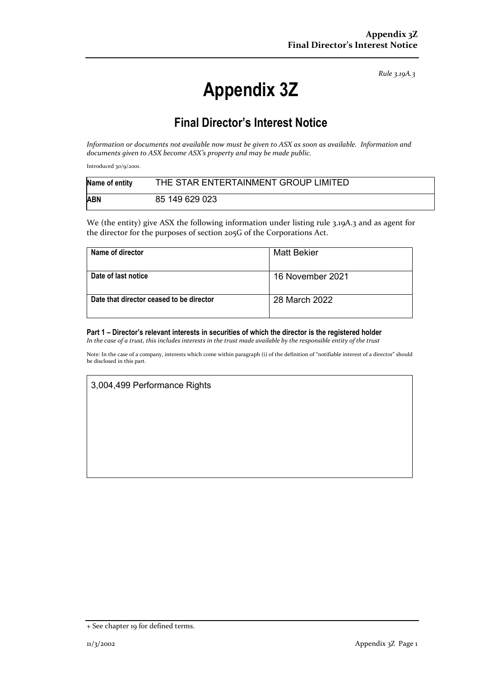*Rule 3.19A.3*

# **Appendix 3Z**

# **Final Director's Interest Notice**

*Information or documents not available now must be given to ASX as soon as available. Information and documents given to ASX become ASX's property and may be made public.*

Introduced 30/9/2001.

| Name of entity | THE STAR ENTERTAINMENT GROUP LIMITED |
|----------------|--------------------------------------|
| <b>ABN</b>     | 85 149 629 023                       |

We (the entity) give ASX the following information under listing rule 3.19A.3 and as agent for the director for the purposes of section 205G of the Corporations Act.

| Name of director                         | Matt Bekier      |
|------------------------------------------|------------------|
| Date of last notice                      | 16 November 2021 |
| Date that director ceased to be director | 28 March 2022    |

#### **Part 1 – Director's relevant interests in securities of which the director is the registered holder**

*In the case of a trust, this includes interests in the trust made available by the responsible entity of the trust*

Note: In the case of a company, interests which come within paragraph (i) of the definition of "notifiable interest of a director" should be disclosed in this part.

## 3,004,499 Performance Rights

<sup>+</sup> See chapter 19 for defined terms.